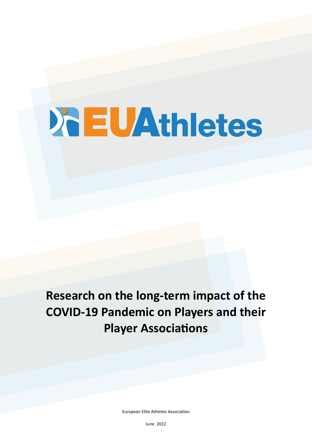# **XEUAthletes**

# **Research on the long-term impact of the COVID-19 Pandemic on Players and their Player Associations**

European Elite Athletes Association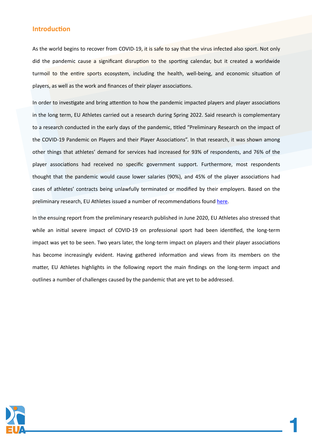#### **Introduction**

As the world begins to recover from COVID-19, it is safe to say that the virus infected also sport. Not only did the pandemic cause a significant disruption to the sporting calendar, but it created a worldwide turmoil to the entire sports ecosystem, including the health, well-being, and economic situation of players, as well as the work and finances of their player associations.

In order to investigate and bring attention to how the pandemic impacted players and player associations in the long term, EU Athletes carried out a research during Spring 2022. Said research is complementary to a research conducted in the early days of the pandemic, titled "Preliminary Research on the impact of the COVID-19 Pandemic on Players and their Player Associations". In that research, it was shown among other things that athletes' demand for services had increased for 93% of respondents, and 76% of the player associations had received no specific government support. Furthermore, most respondents thought that the pandemic would cause lower salaries (90%), and 45% of the player associations had cases of athletes' contracts being unlawfully terminated or modified by their employers. Based on the preliminary research, EU Athletes issued a number of recommendations found [here](https://euathletes.org/wp-content/uploads/2021/04/Preliminary-Research-on-the-impact-of-the-COVID-19-Pandemic-on-Players-and-their-Player-Associations.pdf).

In the ensuing report from the preliminary research published in June 2020, EU Athletes also stressed that while an initial severe impact of COVID-19 on professional sport had been identified, the long-term impact was yet to be seen. Two years later, the long-term impact on players and their player associations has become increasingly evident. Having gathered information and views from its members on the matter, EU Athletes highlights in the following report the main findings on the long-term impact and outlines a number of challenges caused by the pandemic that are yet to be addressed.

**1**

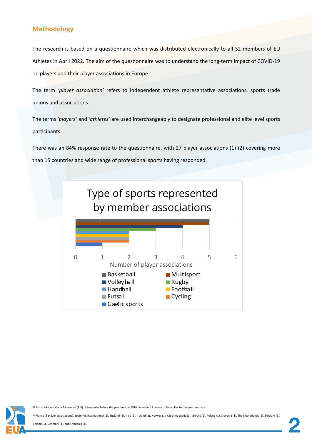# **Methodology**

The research is based on a questionnaire which was distributed electronically to all 32 members of EU Athletes in April 2022. The aim of the questionnaire was to understand the long-term impact of COVID-19 on players and their player associations in Europe.

The term *'player association'* refers to independent athlete representative associations, sports trade unions and associations.

The terms *'players'* and *'athletes'* are used interchangeably to designate professional and elite level sports participants.

There was an 84% response rate to the questionnaire, with 27 player associations (1) (2) covering more than 15 countries and wide range of professional sports having responded.



[1] Associazione Italiana Pallavolisti (AIP) did not exist before the pandemic in 2019, as evident in some of its replies to the questionnaire.

[2] France (5 player associations), Spain (4), international (2), England (2), Italy (2), Ireland (2), Norway (1), Czech Republic (1), Greece (1), Poland (1), Slovenia (1), The Netherlands (1), Belgium (1),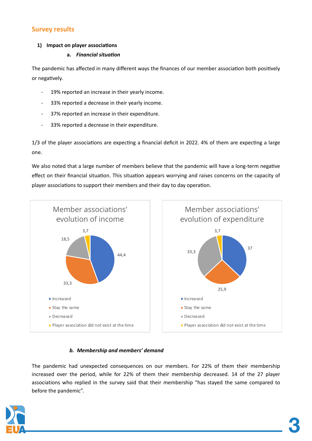# **Survey results**

# **1) Impact on player associations**

## **a.** *Financial situation*

The pandemic has affected in many different ways the finances of our member association both positively or negatively.

- 19% reported an increase in their yearly income.
- 33% reported a decrease in their yearly income.
- 37% reported an increase in their expenditure.
- 33% reported a decrease in their expenditure.

1/3 of the player associations are expecting a financial deficit in 2022. 4% of them are expecting a large one.

We also noted that a large number of members believe that the pandemic will have a long-term negative effect on their financial situation. This situation appears worrying and raises concerns on the capacity of player associations to support their members and their day to day operation.



# *b. Membership and members' demand*

The pandemic had unexpected consequences on our members. For 22% of them their membership increased over the period, while for 22% of them their membership decreased. 14 of the 27 player associations who replied in the survey said that their membership "has stayed the same compared to before the pandemic".

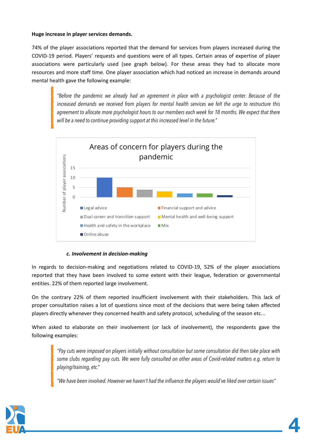#### **Huge increase in player services demands.**

74% of the player associations reported that the demand for services from players increased during the COVID-19 period. Players' requests and questions were of all types. Certain areas of expertise of player associations were particularly used (see graph below). For these areas they had to allocate more resources and more staff time. One player association which had noticed an increase in demands around mental health gave the following example:

*"Before the pandemic we already had an agreement in place with a psychologist center. Because of the increased demands we received from players for mental health services we felt the urge to restructure this*  agreement to allocate more psychologist hours to our members each week for 18 months. We expect that there *will be a need to continue providing support at this increased level in the future."* 



#### *c. Involvement in decision-making*

In regards to decision-making and negotiations related to COVID-19, 52% of the player associations reported that they have been involved to some extent with their league, federation or governmental entities. 22% of them reported large involvement.

On the contrary 22% of them reported insufficient involvement with their stakeholders. This lack of proper consultation raises a lot of questions since most of the decisions that were being taken affected players directly whenever they concerned health and safety protocol, scheduling of the season etc...

When asked to elaborate on their involvement (or lack of involvement), the respondents gave the following examples:

*"Pay cuts were imposed on players initially without consultation but some consultation did then take place with some clubs regarding pay cuts. We were fully consulted on other areas of Covid-related matters e.g. return to playing/training, etc."*

*"We have been involved. However we haven't had the influence the players would've liked over certain issues"*

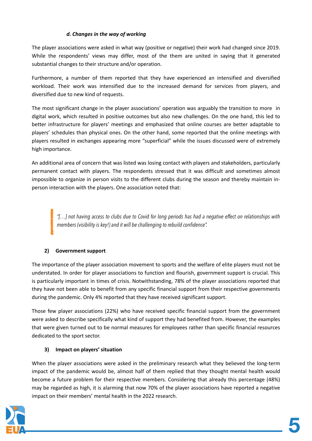## *d. Changes in the way of working*

The player associations were asked in what way (positive or negative) their work had changed since 2019. While the respondents' views may differ, most of the them are united in saying that it generated substantial changes to their structure and/or operation.

Furthermore, a number of them reported that they have experienced an intensified and diversified workload. Their work was intensified due to the increased demand for services from players, and diversified due to new kind of requests.

The most significant change in the player associations' operation was arguably the transition to more in digital work, which resulted in positive outcomes but also new challenges. On the one hand, this led to better infrastructure for players' meetings and emphasized that online courses are better adaptable to players' schedules than physical ones. On the other hand, some reported that the online meetings with players resulted in exchanges appearing more "superficial" while the issues discussed were of extremely high importance.

An additional area of concern that was listed was losing contact with players and stakeholders, particularly permanent contact with players. The respondents stressed that it was difficult and sometimes almost impossible to organize in person visits to the different clubs during the season and thereby maintain inperson interaction with the players. One association noted that:

*"[…] not having access to clubs due to Covid for long periods has had a negative effect on relationships with members (visibility is key!) and it will be challenging to rebuild confidence".*

# **2) Government support**

The importance of the player association movement to sports and the welfare of elite players must not be understated. In order for player associations to function and flourish, government support is crucial. This is particularly important in times of crisis. Notwithstanding, 78% of the player associations reported that they have not been able to benefit from any specific financial support from their respective governments during the pandemic. Only 4% reported that they have received significant support.

Those few player associations (22%) who have received specific financial support from the government were asked to describe specifically what kind of support they had benefited from. However, the examples that were given turned out to be normal measures for employees rather than specific financial resources dedicated to the sport sector.

#### **3) Impact on players' situation**

When the player associations were asked in the preliminary research what they believed the long-term impact of the pandemic would be, almost half of them replied that they thought mental health would become a future problem for their respective members. Considering that already this percentage (48%) may be regarded as high, it is alarming that now 70% of the player associations have reported a negative impact on their members' mental health in the 2022 research.

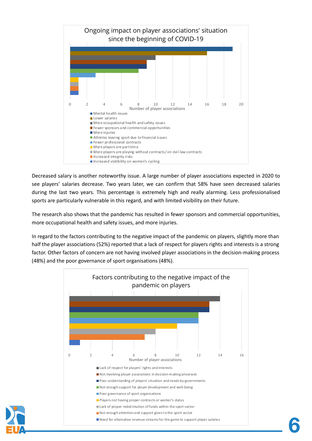

Decreased salary is another noteworthy issue. A large number of player associations expected in 2020 to see players' salaries decrease. Two years later, we can confirm that 58% have seen decreased salaries during the last two years. This percentage is extremely high and really alarming. Less professionalised sports are particularly vulnerable in this regard, and with limited visibility on their future.

The research also shows that the pandemic has resulted in fewer sponsors and commercial opportunities, more occupational health and safety issues, and more injuries.

In regard to the factors contributing to the negative impact of the pandemic on players, slightly more than half the player associations (52%) reported that a lack of respect for players rights and interests is a strong factor. Other factors of concern are not having involved player associations in the decision-making process (48%) and the poor governance of sport organisations (48%).



**6**

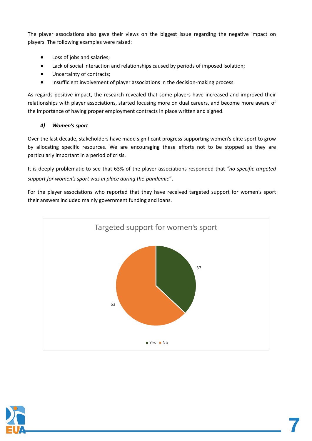The player associations also gave their views on the biggest issue regarding the negative impact on players. The following examples were raised:

- Loss of jobs and salaries;
- Lack of social interaction and relationships caused by periods of imposed isolation;
- Uncertainty of contracts;
- Insufficient involvement of player associations in the decision-making process.

As regards positive impact, the research revealed that some players have increased and improved their relationships with player associations, started focusing more on dual careers, and become more aware of the importance of having proper employment contracts in place written and signed.

# *4) Women's sport*

Over the last decade, stakeholders have made significant progress supporting women's elite sport to grow by allocating specific resources. We are encouraging these efforts not to be stopped as they are particularly important in a period of crisis.

It is deeply problematic to see that 63% of the player associations responded that *"no specific targeted support for women's sport was in place during the pandemic"*.

For the player associations who reported that they have received targeted support for women's sport their answers included mainly government funding and loans.



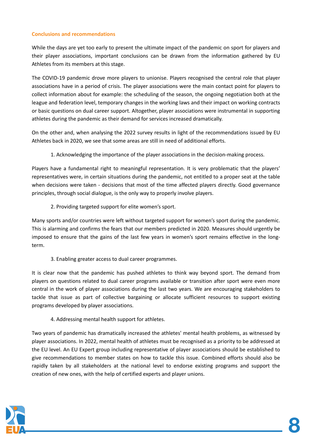#### **Conclusions and recommendations**

While the days are yet too early to present the ultimate impact of the pandemic on sport for players and their player associations, important conclusions can be drawn from the information gathered by EU Athletes from its members at this stage.

The COVID-19 pandemic drove more players to unionise. Players recognised the central role that player associations have in a period of crisis. The player associations were the main contact point for players to collect information about for example: the scheduling of the season, the ongoing negotiation both at the league and federation level, temporary changes in the working laws and their impact on working contracts or basic questions on dual career support. Altogether, player associations were instrumental in supporting athletes during the pandemic as their demand for services increased dramatically.

On the other and, when analysing the 2022 survey results in light of the recommendations issued by EU Athletes back in 2020, we see that some areas are still in need of additional efforts.

1. Acknowledging the importance of the player associations in the decision-making process.

Players have a fundamental right to meaningful representation. It is very problematic that the players' representatives were, in certain situations during the pandemic, not entitled to a proper seat at the table when decisions were taken - decisions that most of the time affected players directly. Good governance principles, through social dialogue, is the only way to properly involve players.

2. Providing targeted support for elite women's sport.

Many sports and/or countries were left without targeted support for women's sport during the pandemic. This is alarming and confirms the fears that our members predicted in 2020. Measures should urgently be imposed to ensure that the gains of the last few years in women's sport remains effective in the longterm.

3. Enabling greater access to dual career programmes.

It is clear now that the pandemic has pushed athletes to think way beyond sport. The demand from players on questions related to dual career programs available or transition after sport were even more central in the work of player associations during the last two years. We are encouraging stakeholders to tackle that issue as part of collective bargaining or allocate sufficient resources to support existing programs developed by player associations.

4. Addressing mental health support for athletes.

Two years of pandemic has dramatically increased the athletes' mental health problems, as witnessed by player associations. In 2022, mental health of athletes must be recognised as a priority to be addressed at the EU level. An EU Expert group including representative of player associations should be established to give recommendations to member states on how to tackle this issue. Combined efforts should also be rapidly taken by all stakeholders at the national level to endorse existing programs and support the creation of new ones, with the help of certified experts and player unions.